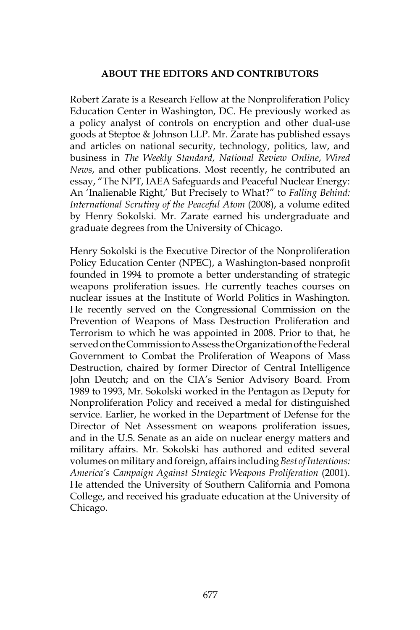## **ABOUT THE EDITORS AND CONTRIBUTORS**

Robert Zarate is a Research Fellow at the Nonproliferation Policy Education Center in Washington, DC. He previously worked as a policy analyst of controls on encryption and other dual-use goods at Steptoe & Johnson LLP. Mr. Zarate has published essays and articles on national security, technology, politics, law, and business in *The Weekly Standard*, *National Review Online*, *Wired News*, and other publications. Most recently, he contributed an essay, "The NPT, IAEA Safeguards and Peaceful Nuclear Energy: An 'Inalienable Right,' But Precisely to What?" to *Falling Behind: International Scrutiny of the Peaceful Atom* (2008), a volume edited by Henry Sokolski. Mr. Zarate earned his undergraduate and graduate degrees from the University of Chicago.

Henry Sokolski is the Executive Director of the Nonproliferation Policy Education Center (NPEC), a Washington-based nonprofit founded in 1994 to promote a better understanding of strategic weapons proliferation issues. He currently teaches courses on nuclear issues at the Institute of World Politics in Washington. He recently served on the Congressional Commission on the Prevention of Weapons of Mass Destruction Proliferation and Terrorism to which he was appointed in 2008. Prior to that, he served on the Commission to Assess the Organization of the Federal Government to Combat the Proliferation of Weapons of Mass Destruction, chaired by former Director of Central Intelligence John Deutch; and on the CIA's Senior Advisory Board. From 1989 to 1993, Mr. Sokolski worked in the Pentagon as Deputy for Nonproliferation Policy and received a medal for distinguished service. Earlier, he worked in the Department of Defense for the Director of Net Assessment on weapons proliferation issues, and in the U.S. Senate as an aide on nuclear energy matters and military affairs. Mr. Sokolski has authored and edited several volumes on military and foreign, affairs including *Best of Intentions: America's Campaign Against Strategic Weapons Proliferation* (2001). He attended the University of Southern California and Pomona College, and received his graduate education at the University of Chicago.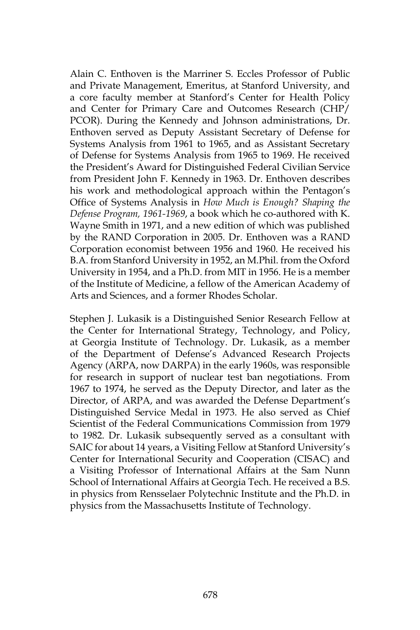Alain C. Enthoven is the Marriner S. Eccles Professor of Public and Private Management, Emeritus, at Stanford University, and a core faculty member at Stanford's Center for Health Policy and Center for Primary Care and Outcomes Research (CHP/ PCOR). During the Kennedy and Johnson administrations, Dr. Enthoven served as Deputy Assistant Secretary of Defense for Systems Analysis from 1961 to 1965, and as Assistant Secretary of Defense for Systems Analysis from 1965 to 1969. He received the President's Award for Distinguished Federal Civilian Service from President John F. Kennedy in 1963. Dr. Enthoven describes his work and methodological approach within the Pentagon's Office of Systems Analysis in *How Much is Enough? Shaping the Defense Program, 1961-1969*, a book which he co-authored with K. Wayne Smith in 1971, and a new edition of which was published by the RAND Corporation in 2005. Dr. Enthoven was a RAND Corporation economist between 1956 and 1960. He received his B.A. from Stanford University in 1952, an M.Phil. from the Oxford University in 1954, and a Ph.D. from MIT in 1956. He is a member of the Institute of Medicine, a fellow of the American Academy of Arts and Sciences, and a former Rhodes Scholar.

Stephen J. Lukasik is a Distinguished Senior Research Fellow at the Center for International Strategy, Technology, and Policy, at Georgia Institute of Technology. Dr. Lukasik, as a member of the Department of Defense's Advanced Research Projects Agency (ARPA, now DARPA) in the early 1960s, was responsible for research in support of nuclear test ban negotiations. From 1967 to 1974, he served as the Deputy Director, and later as the Director, of ARPA, and was awarded the Defense Department's Distinguished Service Medal in 1973. He also served as Chief Scientist of the Federal Communications Commission from 1979 to 1982. Dr. Lukasik subsequently served as a consultant with SAIC for about 14 years, a Visiting Fellow at Stanford University's Center for International Security and Cooperation (CISAC) and a Visiting Professor of International Affairs at the Sam Nunn School of International Affairs at Georgia Tech. He received a B.S. in physics from Rensselaer Polytechnic Institute and the Ph.D. in physics from the Massachusetts Institute of Technology.